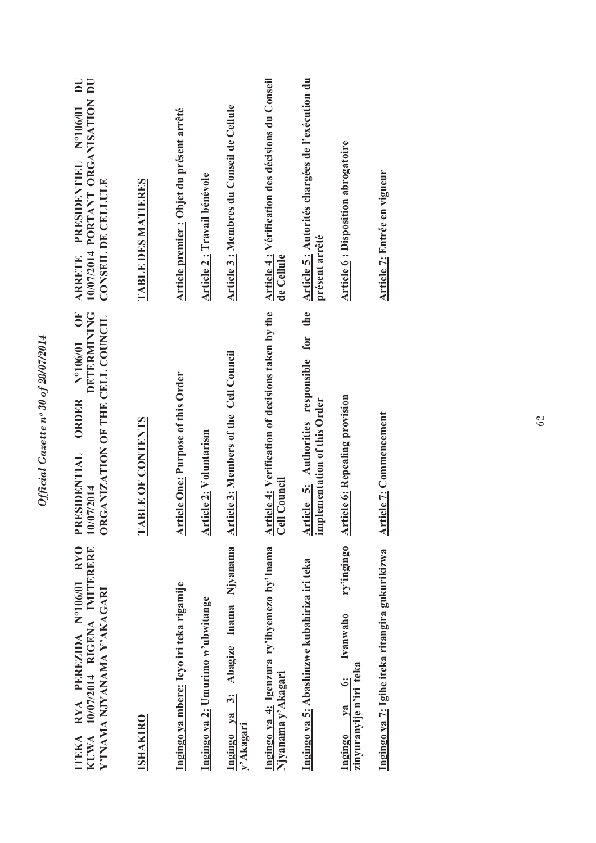| ITEKA RYA PEREZIDA Nº106/01 RYO<br>KUWA 10/07/2014 RIGENA IMITERERE<br>Y'INAMA NJYANAMA Y'AKAGARI  | <b>DETERMINING</b><br>N°106/01 OF<br>ORGANIZATION OF THE CELL COUNCIL<br>ORDER<br>PRESIDENTIAL<br>10/07/2014 | 10/07/2014 PORTANT ORGANISATION DU<br>$\overline{\mathbf{D}}$<br>ARRETE PRESIDENTIEL Nº106/01<br>CONSEIL DE CELLULE |
|----------------------------------------------------------------------------------------------------|--------------------------------------------------------------------------------------------------------------|---------------------------------------------------------------------------------------------------------------------|
| <b>ISHAKIRO</b>                                                                                    | <b>TABLE OF CONTENTS</b>                                                                                     | <b>TABLE DES MATIERES</b>                                                                                           |
| Ingingo ya mbere: Icyo iri teka rigamije                                                           | <b>Article One: Purpose of this Order</b>                                                                    | Article premier : Objet du présent arrêté                                                                           |
| Ingingo ya 2: Umurimo w'ubwitange                                                                  | <b>Article 2: Voluntarism</b>                                                                                | Article 2 : Travail bénévole                                                                                        |
| Njyanama<br>3: Abagize Inama<br>Ingingo ya<br>y'Akagari                                            | <b>Article 3: Members of the Cell Council</b>                                                                | Article 3 : Membres du Conseil de Cellule                                                                           |
| Ingingo ya 4: Igenzura ry'ibyemezo by'Inama<br>Njyanama y'Akagari                                  | <b>Article 4: Verification of decisions taken by the Cell Council</b>                                        | Article 4 : Vérification des décisions du Conseil<br>de Cellule                                                     |
| Ingingo ya 5: Abashinzwe kubahiriza iri teka                                                       | Article 5: Authorities responsible for the<br>plementation of this Order<br>.트                               | Article 5: Autorités chargées de l'exécution du<br>présent arrêté                                                   |
| ry'ingingo<br>Ivanwaho<br>zinyuranyije n'iri teka<br>$\ddot{\circ}$<br>$v_{\mathbf{a}}$<br>Ingingo | <b>Article 6: Repealing provision</b>                                                                        | <b>Article 6: Disposition abrogatoire</b>                                                                           |
| Ingingo ya 7: Igihe iteka ritangira gukurikizwa                                                    | <b>Article 7: Commencement</b>                                                                               | <b>Article 7: Entrée en vigueur</b>                                                                                 |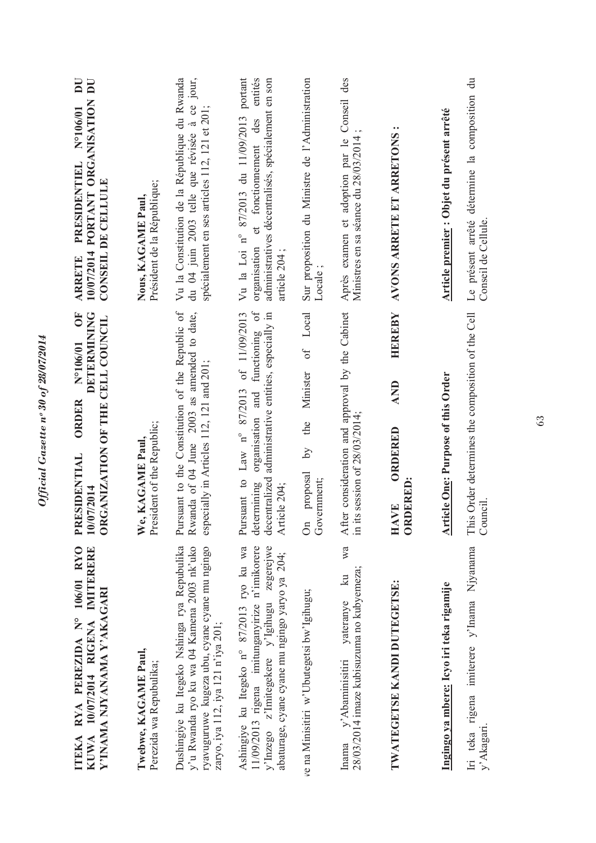Official Gazette nº 30 of 28/07/2014 *Official Gazette nᵒ 30 of 28/07/2014* 

63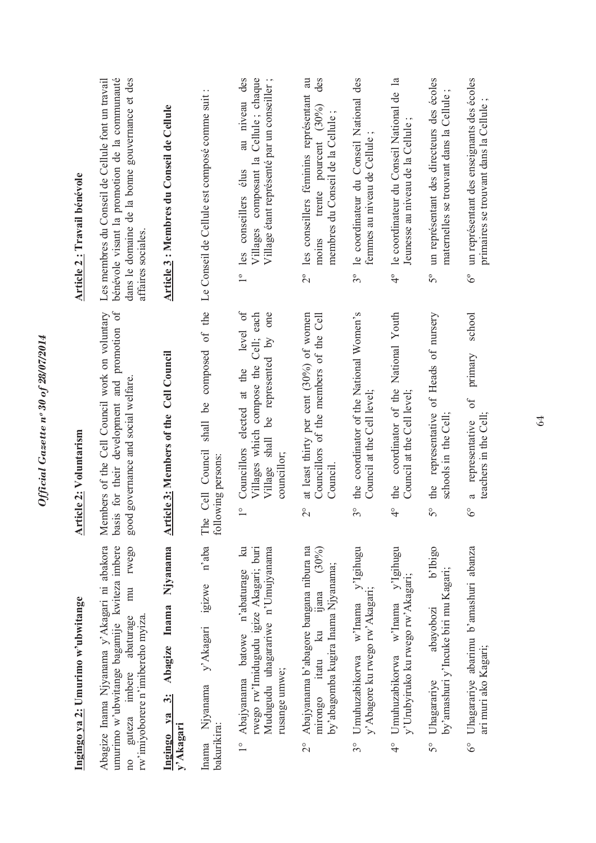|                          | Ingingo ya 2: Umurimo w'ubwitange                                                                                                                                         | <b>Article 2: Voluntarism</b>                                                                                                                          | Article 2: Travail bénévole                                                                                                                                                |
|--------------------------|---------------------------------------------------------------------------------------------------------------------------------------------------------------------------|--------------------------------------------------------------------------------------------------------------------------------------------------------|----------------------------------------------------------------------------------------------------------------------------------------------------------------------------|
| $n_{\rm O}$              | Abagize Inama Njyanama y'Akagari ni abakora<br>umurimo w'ubwitange bagamije kwiteza imbere<br>rwego<br>mu<br>rw'imiyoborere n'imibereho myiza.<br>guteza imbere abaturage | basis for their development and promotion of<br>Members of the Cell Council work on voluntary<br>good governance and social welfare.                   | bénévole visant la promotion de la communauté<br>dans le domaine de la bonne gouvernance et des<br>Les membres du Conseil de Cellule font un travail<br>affaires sociales. |
| Ingingo ya<br>y'Akagari  | Njyanama<br>Abagize Inama<br>$\ddot{3}$                                                                                                                                   | Article 3: Members of the Cell Council                                                                                                                 | Article 3 : Membres du Conseil de Cellule                                                                                                                                  |
| bakurikira:              | n'aba<br>y'Akagari igizwe<br>Inama Njyanama                                                                                                                               | The Cell Council<br>following persons:                                                                                                                 | shall be composed of the Le Conseil de Cellule est composé comme suit :                                                                                                    |
| $\frac{1}{1}$            | $\mathbb{R}$<br>Mudugudu uhagarariwe n'Umujyanama<br>rwego rw'lmidugudu igize Akagari; buri<br>Abajyanama batowe n'abaturage<br>rusange umwe;                             | level of<br>Village shall be represented by one<br>Villages which compose the Cell; each<br>Councillors elected at the<br>councillor;<br>$\frac{1}{1}$ | au niveau des<br>Villages composant la Cellule; chaque<br>Village étant représenté par un conseiller ;<br>1° les conseillers élus                                          |
| $\overline{\mathcal{C}}$ | Abajyanama b'abagore bangana nibura na<br>(30%)<br>by'abagomba kugira Inama Njyanama;<br>yana<br>$\overline{\mathbf{a}}$<br>mirongo itatu                                 | at least thirty per cent (30%) of women<br>Councillors of the members of the Cell<br>Council<br>$\overset{\circ}{\sim}$                                | des<br>les conseillers féminins représentant au<br>trente pourcent (30%)<br>membres du Conseil de la Cellule<br>moins<br>$\tilde{\mathcal{L}}$                             |
| 30                       | y'Igihugu<br>y' Abagore ku rwego rw' Akagari;<br>Umuhuzabikorwa w'Inama                                                                                                   | the coordinator of the National Women's<br>Council at the Cell level;<br>30                                                                            | le coordinateur du Conseil National des<br>femmes au niveau de Cellule<br>$3^{\circ}$                                                                                      |
| $\frac{1}{4}$            | y'Igihugu<br>y'Urubyiruko ku rwego rw'Akagari;<br>Umuhuzabikorwa w'Inama                                                                                                  | coordinator of the National Youth<br>Council at the Cell level;<br>the<br>$\frac{1}{4}$                                                                | le coordinateur du Conseil National de la<br>Jeunesse au niveau de la Cellule;<br>$\ddot{ }$                                                                               |
| $5^{\circ}$              | b'Ibigo<br>by'amashuri y'Incuke biri mu Kagari;<br>abavobozi<br>Uhagarariye                                                                                               | of Heads of nursery<br>the representative<br>schools in the Cell;<br>50                                                                                | un représentant des directeurs des écoles<br>maternelles se trouvant dans la Cellule<br>$5^{\circ}$                                                                        |
| $6^\circ$                | Uhagarariye abarimu b'amashuri abanza<br>ari muri ako Kagari;                                                                                                             | school<br>primary<br>$\delta$ f<br>teachers in the Cell;<br>representative<br>a<br>$\delta^{\circ}$                                                    | un représentant des enseignants des écoles<br>primaires se trouvant dans la Cellule<br>$\delta^{\circ}$                                                                    |

*Official Gazette nᵒ 30 of 28/07/2014* 

Official Gazette nº 30 of 28/07/2014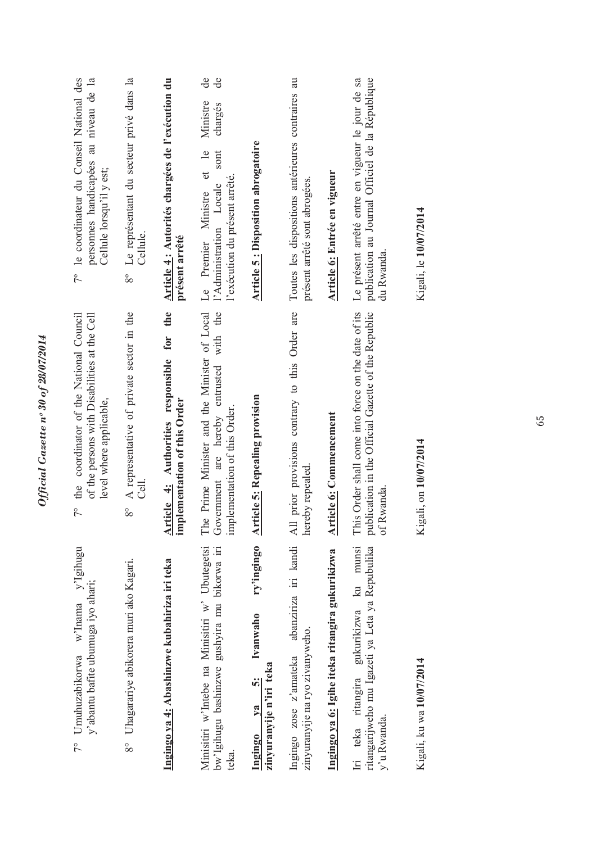| v'Igihugu<br>y'abantu bafite ubumuga iyo ahari;<br>w'Inama<br>7° Umuhuzabikorwa                           | 7° the coordinator of the National Council<br>of the persons with Disabilities at the Cell<br>level where applicable,        | 7º le coordinateur du Conseil National des<br>personnes handicapées au niveau de la<br>Cellule lorsqu'il y est;                      |
|-----------------------------------------------------------------------------------------------------------|------------------------------------------------------------------------------------------------------------------------------|--------------------------------------------------------------------------------------------------------------------------------------|
| Uhagarariye abikorera muri ako Kagari.<br>$8^{\circ}$                                                     | A representative of private sector in the<br>$\overline{\text{Cell}}$<br>$8^{\circ}$                                         | Le représentant du secteur privé dans la<br>Cellule.<br>80                                                                           |
| Ingingo ya 4: Abashinzwe kubahiriza iri teka                                                              | Article 4: Authorities responsible for the<br>implementation of this Order                                                   | Article 4: Autorités chargées de l'exécution du<br>présent arrêté                                                                    |
| Minisitiri w'Intebe na Minisitiri w' Ubutegetsi<br>bw'lgihugu bashinzwe gushyira mu bikorwa iri<br>teka.  | The Prime Minister and the Minister of Local<br>with the<br>Government are hereby entrusted<br>implementation of this Order. | de<br>de<br>Ministre<br>chargés<br>et le<br>sont<br>l'exécution du présent arrêté.<br>l'Administration Locale<br>Le Premier Ministre |
| ry'ingingo<br>Ivanwaho<br>zinyuranyije n'iri teka<br>$\ddot{\bm{\delta}}$<br>va<br>Ingingo                | <b>Article 5: Repealing provision</b>                                                                                        | <b>Article 5: Disposition abrogatoire</b>                                                                                            |
| abanziriza iri kandi<br>zinyuranyije na ryo zivanyweho.<br>Ingingo zose z'amateka                         | All prior provisions contrary to this Order are<br>hereby repealed.                                                          | Toutes les dispositions antérieures contraires au<br>présent arrêté sont abrogées.                                                   |
| Ingingo ya 6: Igihe iteka ritangira gukurikizwa                                                           | <b>Article 6: Commencement</b>                                                                                               | Article 6: Entrée en vigueur                                                                                                         |
| Iri teka ritangira gukurikizwa ku munsi<br>ritangarijweho mu Igazeti ya Leta ya Repubulika<br>y'u Rwanda. | This Order shall come into force on the date of its<br>publication in the Official Gazette of the Republic<br>Rwanda.<br>ЪÓ  | Le présent arrêté entre en vigueur le jour de sa<br>publication au Journal Officiel de la République<br>du Rwanda.                   |
| Kigali, ku wa 10/07/2014                                                                                  | Kigali, on 10/07/2014                                                                                                        | Kigali, le 10/07/2014                                                                                                                |
|                                                                                                           |                                                                                                                              |                                                                                                                                      |

*Official Gazette nᵒ 30 of 28/07/2014* 

Official Gazette nº 30 of 28/07/2014